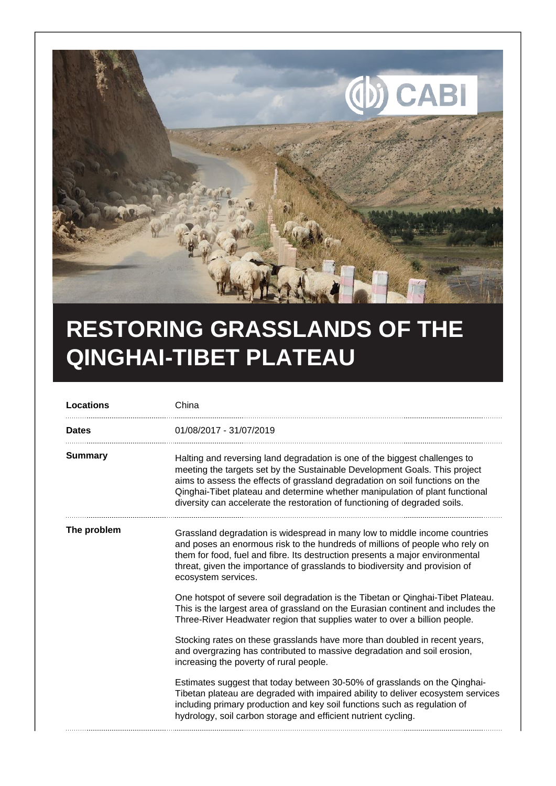

## **RESTORING GRASSLANDS OF THE QINGHAI-TIBET PLATEAU**

| <b>Locations</b> | China                                                                                                                                                                                                                                                                                                                                                                                                  |
|------------------|--------------------------------------------------------------------------------------------------------------------------------------------------------------------------------------------------------------------------------------------------------------------------------------------------------------------------------------------------------------------------------------------------------|
| <b>Dates</b>     | 01/08/2017 - 31/07/2019                                                                                                                                                                                                                                                                                                                                                                                |
| <b>Summary</b>   | Halting and reversing land degradation is one of the biggest challenges to<br>meeting the targets set by the Sustainable Development Goals. This project<br>aims to assess the effects of grassland degradation on soil functions on the<br>Qinghai-Tibet plateau and determine whether manipulation of plant functional<br>diversity can accelerate the restoration of functioning of degraded soils. |
| The problem      | Grassland degradation is widespread in many low to middle income countries<br>and poses an enormous risk to the hundreds of millions of people who rely on<br>them for food, fuel and fibre. Its destruction presents a major environmental<br>threat, given the importance of grasslands to biodiversity and provision of<br>ecosystem services.                                                      |
|                  | One hotspot of severe soil degradation is the Tibetan or Qinghai-Tibet Plateau.<br>This is the largest area of grassland on the Eurasian continent and includes the<br>Three-River Headwater region that supplies water to over a billion people.                                                                                                                                                      |
|                  | Stocking rates on these grasslands have more than doubled in recent years,<br>and overgrazing has contributed to massive degradation and soil erosion,<br>increasing the poverty of rural people.                                                                                                                                                                                                      |
|                  | Estimates suggest that today between 30-50% of grasslands on the Qinghai-<br>Tibetan plateau are degraded with impaired ability to deliver ecosystem services<br>including primary production and key soil functions such as regulation of<br>hydrology, soil carbon storage and efficient nutrient cycling.                                                                                           |